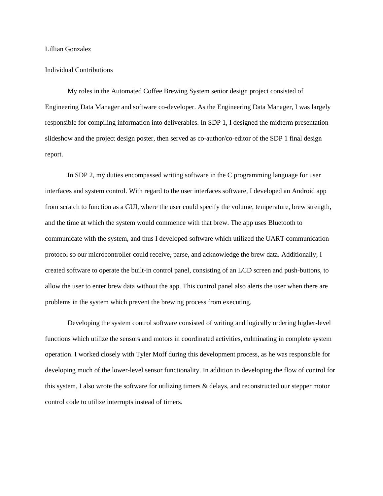Lillian Gonzalez

## Individual Contributions

My roles in the Automated Coffee Brewing System senior design project consisted of Engineering Data Manager and software co-developer. As the Engineering Data Manager, I was largely responsible for compiling information into deliverables. In SDP 1, I designed the midterm presentation slideshow and the project design poster, then served as co-author/co-editor of the SDP 1 final design report.

In SDP 2, my duties encompassed writing software in the C programming language for user interfaces and system control. With regard to the user interfaces software, I developed an Android app from scratch to function as a GUI, where the user could specify the volume, temperature, brew strength, and the time at which the system would commence with that brew. The app uses Bluetooth to communicate with the system, and thus I developed software which utilized the UART communication protocol so our microcontroller could receive, parse, and acknowledge the brew data. Additionally, I created software to operate the built-in control panel, consisting of an LCD screen and push-buttons, to allow the user to enter brew data without the app. This control panel also alerts the user when there are problems in the system which prevent the brewing process from executing.

Developing the system control software consisted of writing and logically ordering higher-level functions which utilize the sensors and motors in coordinated activities, culminating in complete system operation. I worked closely with Tyler Moff during this development process, as he was responsible for developing much of the lower-level sensor functionality. In addition to developing the flow of control for this system, I also wrote the software for utilizing timers & delays, and reconstructed our stepper motor control code to utilize interrupts instead of timers.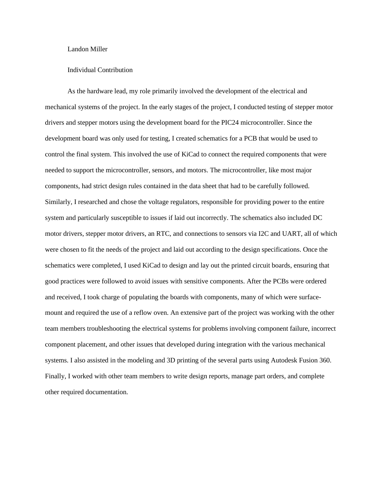### Landon Miller

## Individual Contribution

As the hardware lead, my role primarily involved the development of the electrical and mechanical systems of the project. In the early stages of the project, I conducted testing of stepper motor drivers and stepper motors using the development board for the PIC24 microcontroller. Since the development board was only used for testing, I created schematics for a PCB that would be used to control the final system. This involved the use of KiCad to connect the required components that were needed to support the microcontroller, sensors, and motors. The microcontroller, like most major components, had strict design rules contained in the data sheet that had to be carefully followed. Similarly, I researched and chose the voltage regulators, responsible for providing power to the entire system and particularly susceptible to issues if laid out incorrectly. The schematics also included DC motor drivers, stepper motor drivers, an RTC, and connections to sensors via I2C and UART, all of which were chosen to fit the needs of the project and laid out according to the design specifications. Once the schematics were completed, I used KiCad to design and lay out the printed circuit boards, ensuring that good practices were followed to avoid issues with sensitive components. After the PCBs were ordered and received, I took charge of populating the boards with components, many of which were surfacemount and required the use of a reflow oven. An extensive part of the project was working with the other team members troubleshooting the electrical systems for problems involving component failure, incorrect component placement, and other issues that developed during integration with the various mechanical systems. I also assisted in the modeling and 3D printing of the several parts using Autodesk Fusion 360. Finally, I worked with other team members to write design reports, manage part orders, and complete other required documentation.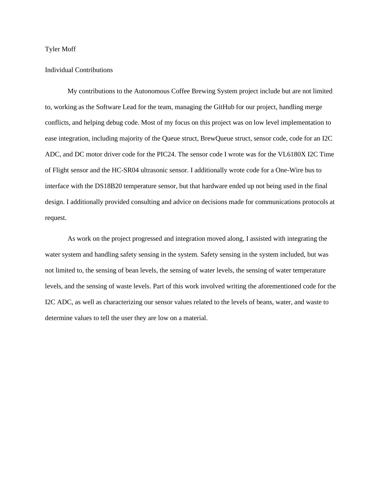#### Tyler Moff

# Individual Contributions

My contributions to the Autonomous Coffee Brewing System project include but are not limited to, working as the Software Lead for the team, managing the GitHub for our project, handling merge conflicts, and helping debug code. Most of my focus on this project was on low level implementation to ease integration, including majority of the Queue struct, BrewQueue struct, sensor code, code for an I2C ADC, and DC motor driver code for the PIC24. The sensor code I wrote was for the VL6180X I2C Time of Flight sensor and the HC-SR04 ultrasonic sensor. I additionally wrote code for a One-Wire bus to interface with the DS18B20 temperature sensor, but that hardware ended up not being used in the final design. I additionally provided consulting and advice on decisions made for communications protocols at request.

As work on the project progressed and integration moved along, I assisted with integrating the water system and handling safety sensing in the system. Safety sensing in the system included, but was not limited to, the sensing of bean levels, the sensing of water levels, the sensing of water temperature levels, and the sensing of waste levels. Part of this work involved writing the aforementioned code for the I2C ADC, as well as characterizing our sensor values related to the levels of beans, water, and waste to determine values to tell the user they are low on a material.